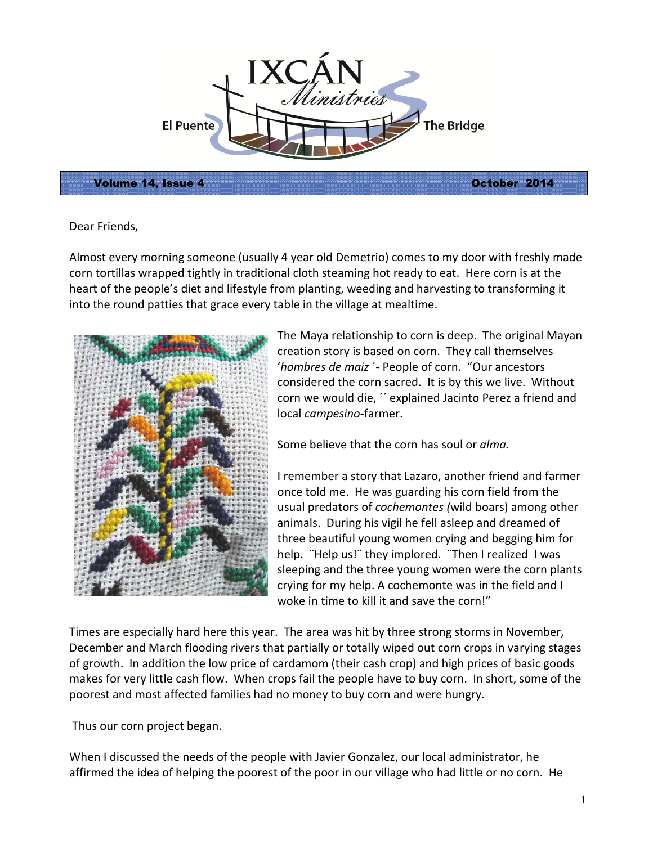

Volume 14, Issue 4 October 2014

Dear Friends,

Almost every morning someone (usually 4 year old Demetrio) comes to my door with freshly made corn tortillas wrapped tightly in traditional cloth steaming hot ready to eat. Here corn is at the heart of the people's diet and lifestyle from planting, weeding and harvesting to transforming it into the round patties that grace every table in the village at mealtime.



The Maya relationship to corn is deep. The original Mayan creation story is based on corn. They call themselves 'hombres de maiz ´- People of corn. "Our ancestors considered the corn sacred. It is by this we live. Without corn we would die, ´´ explained Jacinto Perez a friend and local campesino-farmer.

Some believe that the corn has soul or *alma*.

I remember a story that Lazaro, another friend and farmer once told me. He was guarding his corn field from the usual predators of cochemontes (wild boars) among other animals. During his vigil he fell asleep and dreamed of three beautiful young women crying and begging him for help. ¨Help us!¨ they implored. ¨Then I realized I was sleeping and the three young women were the corn plants crying for my help. A cochemonte was in the field and I woke in time to kill it and save the corn!"

Times are especially hard here this year. The area was hit by three strong storms in November, December and March flooding rivers that partially or totally wiped out corn crops in varying stages of growth. In addition the low price of cardamom (their cash crop) and high prices of basic goods makes for very little cash flow. When crops fail the people have to buy corn. In short, some of the poorest and most affected families had no money to buy corn and were hungry.

Thus our corn project began.

When I discussed the needs of the people with Javier Gonzalez, our local administrator, he affirmed the idea of helping the poorest of the poor in our village who had little or no corn. He